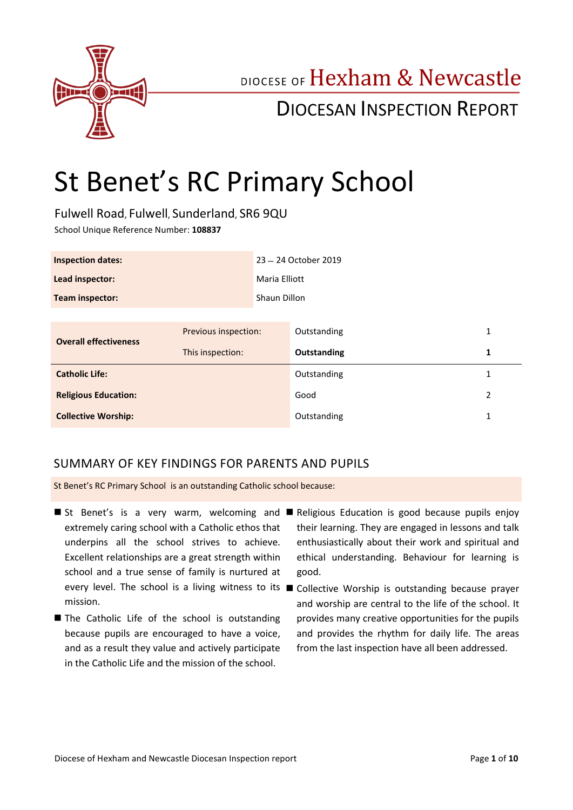

## DIOCESE OF Hexham & Newcastle

## DIOCESAN INSPECTION REPORT

# St Benet's RC Primary School

Fulwell Road, Fulwell, Sunderland, SR6 9QU

School Unique Reference Number: **108837**

| <b>Inspection dates:</b> | 23 - 24 October 2019 |
|--------------------------|----------------------|
| Lead inspector:          | Maria Elliott        |
| Team inspector:          | Shaun Dillon         |

| Previous inspection:<br><b>Overall effectiveness</b><br>This inspection: | Outstanding |  |
|--------------------------------------------------------------------------|-------------|--|
|                                                                          | Outstanding |  |
| <b>Catholic Life:</b>                                                    | Outstanding |  |
| <b>Religious Education:</b>                                              | Good        |  |
| <b>Collective Worship:</b>                                               | Outstanding |  |

## SUMMARY OF KEY FINDINGS FOR PARENTS AND PUPILS

St Benet's RC Primary School is an outstanding Catholic school because:

- St Benet's is a very warm, welcoming and Religious Education is good because pupils enjoy extremely caring school with a Catholic ethos that underpins all the school strives to achieve. Excellent relationships are a great strength within school and a true sense of family is nurtured at mission.
- The Catholic Life of the school is outstanding because pupils are encouraged to have a voice, and as a result they value and actively participate in the Catholic Life and the mission of the school.
- their learning. They are engaged in lessons and talk enthusiastically about their work and spiritual and ethical understanding. Behaviour for learning is good.
- every level. The school is a living witness to its Collective Worship is outstanding because prayer and worship are central to the life of the school. It provides many creative opportunities for the pupils and provides the rhythm for daily life. The areas from the last inspection have all been addressed.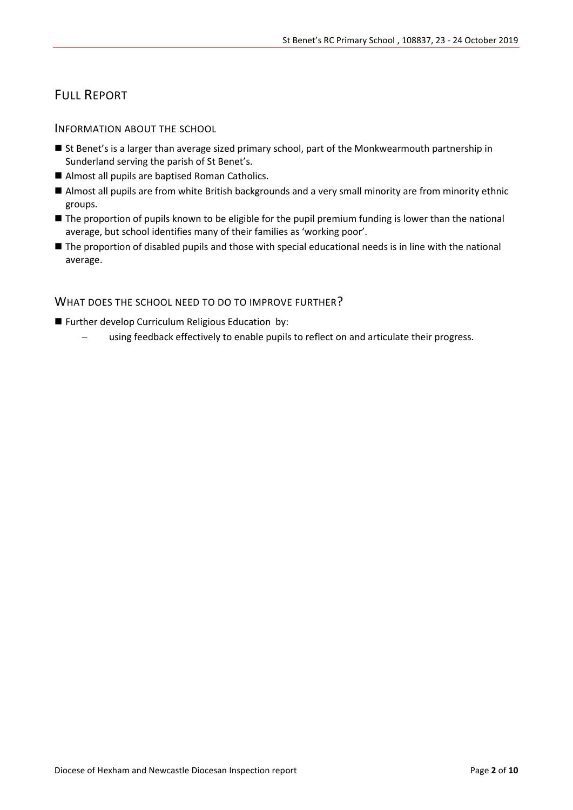## FULL REPORT

INFORMATION ABOUT THE SCHOOL

- St Benet's is a larger than average sized primary school, part of the Monkwearmouth partnership in Sunderland serving the parish of St Benet's.
- Almost all pupils are baptised Roman Catholics.
- Almost all pupils are from white British backgrounds and a very small minority are from minority ethnic groups.
- The proportion of pupils known to be eligible for the pupil premium funding is lower than the national average, but school identifies many of their families as 'working poor'.
- The proportion of disabled pupils and those with special educational needs is in line with the national average.

WHAT DOES THE SCHOOL NEED TO DO TO IMPROVE FURTHER?

- **Further develop Curriculum Religious Education by:** 
	- using feedback effectively to enable pupils to reflect on and articulate their progress.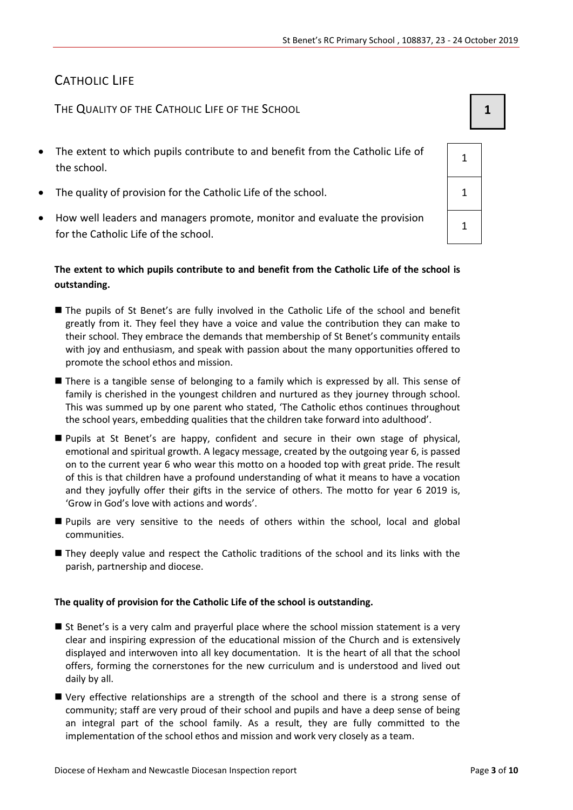## CATHOLIC LIFE

THE QUALITY OF THE CATHOLIC LIFE OF THE SCHOOL **1 1** 

- The extent to which pupils contribute to and benefit from the Catholic Life of the school.
- The quality of provision for the Catholic Life of the school.
- How well leaders and managers promote, monitor and evaluate the provision for the Catholic Life of the school.

#### **The extent to which pupils contribute to and benefit from the Catholic Life of the school is outstanding.**

- The pupils of St Benet's are fully involved in the Catholic Life of the school and benefit greatly from it. They feel they have a voice and value the contribution they can make to their school. They embrace the demands that membership of St Benet's community entails with joy and enthusiasm, and speak with passion about the many opportunities offered to promote the school ethos and mission.
- There is a tangible sense of belonging to a family which is expressed by all. This sense of family is cherished in the youngest children and nurtured as they journey through school. This was summed up by one parent who stated, 'The Catholic ethos continues throughout the school years, embedding qualities that the children take forward into adulthood'.
- Pupils at St Benet's are happy, confident and secure in their own stage of physical, emotional and spiritual growth. A legacy message, created by the outgoing year 6, is passed on to the current year 6 who wear this motto on a hooded top with great pride. The result of this is that children have a profound understanding of what it means to have a vocation and they joyfully offer their gifts in the service of others. The motto for year 6 2019 is, 'Grow in God's love with actions and words'.
- Pupils are very sensitive to the needs of others within the school, local and global communities.
- They deeply value and respect the Catholic traditions of the school and its links with the parish, partnership and diocese.

#### **The quality of provision for the Catholic Life of the school is outstanding.**

- St Benet's is a very calm and prayerful place where the school mission statement is a very clear and inspiring expression of the educational mission of the Church and is extensively displayed and interwoven into all key documentation. It is the heart of all that the school offers, forming the cornerstones for the new curriculum and is understood and lived out daily by all.
- Very effective relationships are a strength of the school and there is a strong sense of community; staff are very proud of their school and pupils and have a deep sense of being an integral part of the school family. As a result, they are fully committed to the implementation of the school ethos and mission and work very closely as a team.

| 1            |  |
|--------------|--|
| 1            |  |
| $\mathbf{1}$ |  |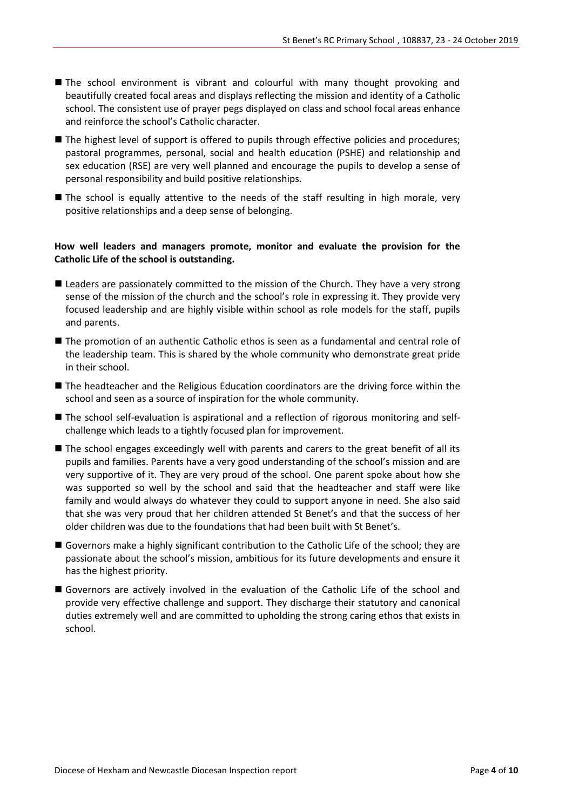- The school environment is vibrant and colourful with many thought provoking and beautifully created focal areas and displays reflecting the mission and identity of a Catholic school. The consistent use of prayer pegs displayed on class and school focal areas enhance and reinforce the school's Catholic character.
- The highest level of support is offered to pupils through effective policies and procedures; pastoral programmes, personal, social and health education (PSHE) and relationship and sex education (RSE) are very well planned and encourage the pupils to develop a sense of personal responsibility and build positive relationships.
- The school is equally attentive to the needs of the staff resulting in high morale, very positive relationships and a deep sense of belonging.

#### **How well leaders and managers promote, monitor and evaluate the provision for the Catholic Life of the school is outstanding.**

- Leaders are passionately committed to the mission of the Church. They have a very strong sense of the mission of the church and the school's role in expressing it. They provide very focused leadership and are highly visible within school as role models for the staff, pupils and parents.
- The promotion of an authentic Catholic ethos is seen as a fundamental and central role of the leadership team. This is shared by the whole community who demonstrate great pride in their school.
- The headteacher and the Religious Education coordinators are the driving force within the school and seen as a source of inspiration for the whole community.
- The school self-evaluation is aspirational and a reflection of rigorous monitoring and selfchallenge which leads to a tightly focused plan for improvement.
- The school engages exceedingly well with parents and carers to the great benefit of all its pupils and families. Parents have a very good understanding of the school's mission and are very supportive of it. They are very proud of the school. One parent spoke about how she was supported so well by the school and said that the headteacher and staff were like family and would always do whatever they could to support anyone in need. She also said that she was very proud that her children attended St Benet's and that the success of her older children was due to the foundations that had been built with St Benet's.
- Governors make a highly significant contribution to the Catholic Life of the school; they are passionate about the school's mission, ambitious for its future developments and ensure it has the highest priority.
- Governors are actively involved in the evaluation of the Catholic Life of the school and provide very effective challenge and support. They discharge their statutory and canonical duties extremely well and are committed to upholding the strong caring ethos that exists in school.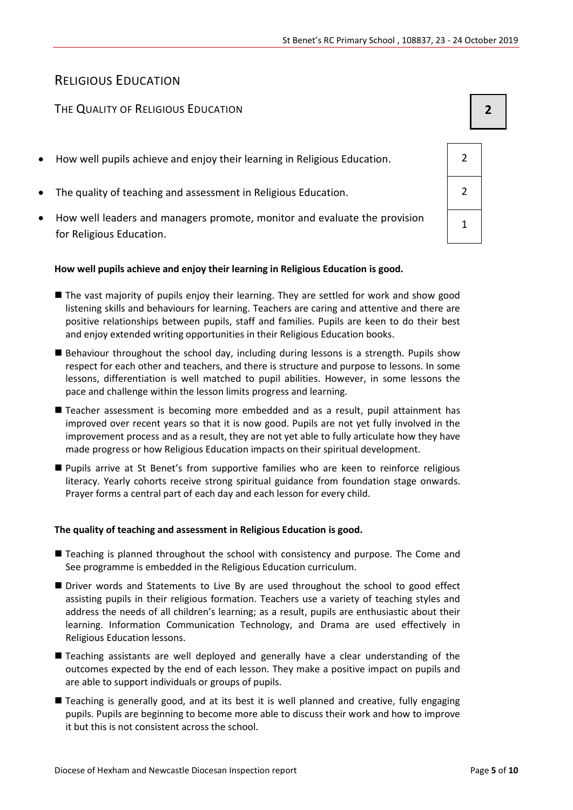## RELIGIOUS EDUCATION

### THE QUALITY OF RELIGIOUS EDUCATION **2**

- How well pupils achieve and enjoy their learning in Religious Education. 2
- The quality of teaching and assessment in Religious Education. 2
- How well leaders and managers promote, monitor and evaluate the provision for Religious Education.

#### **How well pupils achieve and enjoy their learning in Religious Education is good.**

- The vast majority of pupils enjoy their learning. They are settled for work and show good listening skills and behaviours for learning. Teachers are caring and attentive and there are positive relationships between pupils, staff and families. Pupils are keen to do their best and enjoy extended writing opportunities in their Religious Education books.
- Behaviour throughout the school day, including during lessons is a strength. Pupils show respect for each other and teachers, and there is structure and purpose to lessons. In some lessons, differentiation is well matched to pupil abilities. However, in some lessons the pace and challenge within the lesson limits progress and learning.
- Teacher assessment is becoming more embedded and as a result, pupil attainment has improved over recent years so that it is now good. Pupils are not yet fully involved in the improvement process and as a result, they are not yet able to fully articulate how they have made progress or how Religious Education impacts on their spiritual development.
- **Pupils arrive at St Benet's from supportive families who are keen to reinforce religious** literacy. Yearly cohorts receive strong spiritual guidance from foundation stage onwards. Prayer forms a central part of each day and each lesson for every child.

#### **The quality of teaching and assessment in Religious Education is good.**

- Teaching is planned throughout the school with consistency and purpose. The Come and See programme is embedded in the Religious Education curriculum.
- Driver words and Statements to Live By are used throughout the school to good effect assisting pupils in their religious formation. Teachers use a variety of teaching styles and address the needs of all children's learning; as a result, pupils are enthusiastic about their learning. Information Communication Technology, and Drama are used effectively in Religious Education lessons.
- Teaching assistants are well deployed and generally have a clear understanding of the outcomes expected by the end of each lesson. They make a positive impact on pupils and are able to support individuals or groups of pupils.
- Teaching is generally good, and at its best it is well planned and creative, fully engaging pupils. Pupils are beginning to become more able to discuss their work and how to improve it but this is not consistent across the school.

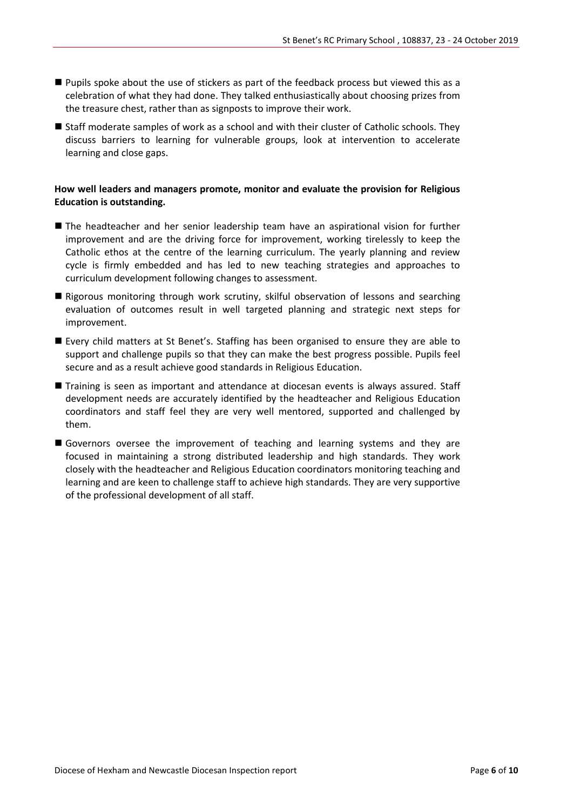- Pupils spoke about the use of stickers as part of the feedback process but viewed this as a celebration of what they had done. They talked enthusiastically about choosing prizes from the treasure chest, rather than as signposts to improve their work.
- Staff moderate samples of work as a school and with their cluster of Catholic schools. They discuss barriers to learning for vulnerable groups, look at intervention to accelerate learning and close gaps.

#### **How well leaders and managers promote, monitor and evaluate the provision for Religious Education is outstanding.**

- The headteacher and her senior leadership team have an aspirational vision for further improvement and are the driving force for improvement, working tirelessly to keep the Catholic ethos at the centre of the learning curriculum. The yearly planning and review cycle is firmly embedded and has led to new teaching strategies and approaches to curriculum development following changes to assessment.
- Rigorous monitoring through work scrutiny, skilful observation of lessons and searching evaluation of outcomes result in well targeted planning and strategic next steps for improvement.
- Every child matters at St Benet's. Staffing has been organised to ensure they are able to support and challenge pupils so that they can make the best progress possible. Pupils feel secure and as a result achieve good standards in Religious Education.
- Training is seen as important and attendance at diocesan events is always assured. Staff development needs are accurately identified by the headteacher and Religious Education coordinators and staff feel they are very well mentored, supported and challenged by them.
- Governors oversee the improvement of teaching and learning systems and they are focused in maintaining a strong distributed leadership and high standards. They work closely with the headteacher and Religious Education coordinators monitoring teaching and learning and are keen to challenge staff to achieve high standards. They are very supportive of the professional development of all staff.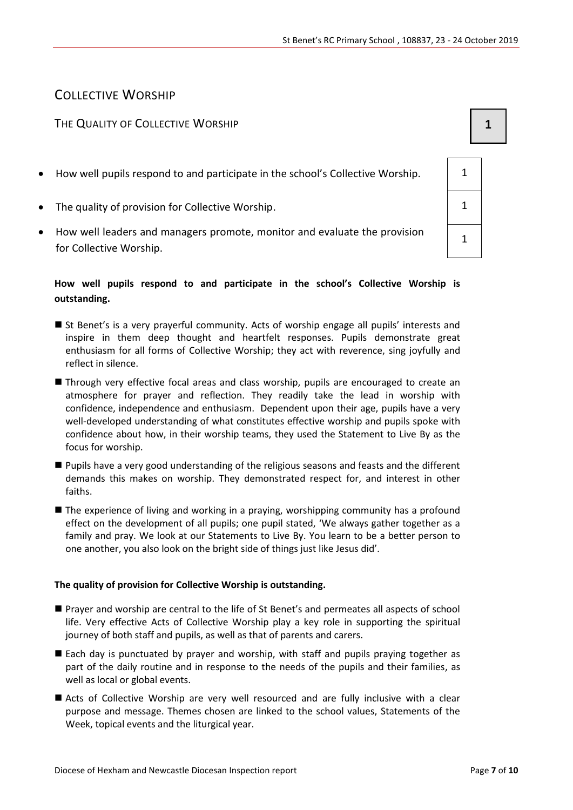## COLLECTIVE WORSHIP

### THE QUALITY OF COLLECTIVE WORSHIP **1 1**

- How well pupils respond to and participate in the school's Collective Worship.  $\vert$  1
- The quality of provision for Collective Worship. 1
- How well leaders and managers promote, monitor and evaluate the provision for Collective Worship.

#### **How well pupils respond to and participate in the school's Collective Worship is outstanding.**

- St Benet's is a very prayerful community. Acts of worship engage all pupils' interests and inspire in them deep thought and heartfelt responses. Pupils demonstrate great enthusiasm for all forms of Collective Worship; they act with reverence, sing joyfully and reflect in silence.
- **Through very effective focal areas and class worship, pupils are encouraged to create an** atmosphere for prayer and reflection. They readily take the lead in worship with confidence, independence and enthusiasm. Dependent upon their age, pupils have a very well-developed understanding of what constitutes effective worship and pupils spoke with confidence about how, in their worship teams, they used the Statement to Live By as the focus for worship.
- **Pupils have a very good understanding of the religious seasons and feasts and the different** demands this makes on worship. They demonstrated respect for, and interest in other faiths.
- The experience of living and working in a praying, worshipping community has a profound effect on the development of all pupils; one pupil stated, 'We always gather together as a family and pray. We look at our Statements to Live By. You learn to be a better person to one another, you also look on the bright side of things just like Jesus did'.

#### **The quality of provision for Collective Worship is outstanding.**

- Prayer and worship are central to the life of St Benet's and permeates all aspects of school life. Very effective Acts of Collective Worship play a key role in supporting the spiritual journey of both staff and pupils, as well as that of parents and carers.
- Each day is punctuated by prayer and worship, with staff and pupils praying together as part of the daily routine and in response to the needs of the pupils and their families, as well as local or global events.
- Acts of Collective Worship are very well resourced and are fully inclusive with a clear purpose and message. Themes chosen are linked to the school values, Statements of the Week, topical events and the liturgical year.

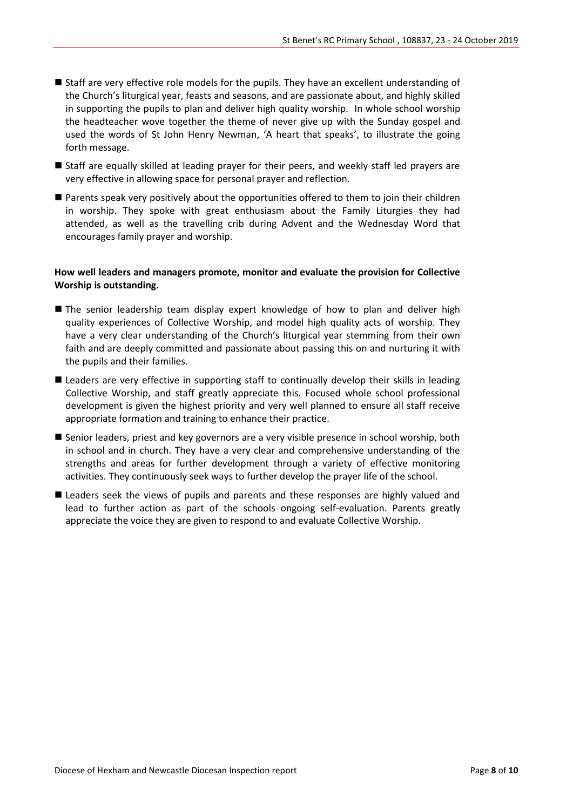- Staff are very effective role models for the pupils. They have an excellent understanding of the Church's liturgical year, feasts and seasons, and are passionate about, and highly skilled in supporting the pupils to plan and deliver high quality worship. In whole school worship the headteacher wove together the theme of never give up with the Sunday gospel and used the words of St John Henry Newman, 'A heart that speaks', to illustrate the going forth message.
- Staff are equally skilled at leading prayer for their peers, and weekly staff led prayers are very effective in allowing space for personal prayer and reflection.
- Parents speak very positively about the opportunities offered to them to join their children in worship. They spoke with great enthusiasm about the Family Liturgies they had attended, as well as the travelling crib during Advent and the Wednesday Word that encourages family prayer and worship.

#### **How well leaders and managers promote, monitor and evaluate the provision for Collective Worship is outstanding.**

- The senior leadership team display expert knowledge of how to plan and deliver high quality experiences of Collective Worship, and model high quality acts of worship. They have a very clear understanding of the Church's liturgical year stemming from their own faith and are deeply committed and passionate about passing this on and nurturing it with the pupils and their families.
- **Leaders are very effective in supporting staff to continually develop their skills in leading** Collective Worship, and staff greatly appreciate this. Focused whole school professional development is given the highest priority and very well planned to ensure all staff receive appropriate formation and training to enhance their practice.
- Senior leaders, priest and key governors are a very visible presence in school worship, both in school and in church. They have a very clear and comprehensive understanding of the strengths and areas for further development through a variety of effective monitoring activities. They continuously seek ways to further develop the prayer life of the school.
- **Leaders seek the views of pupils and parents and these responses are highly valued and** lead to further action as part of the schools ongoing self-evaluation. Parents greatly appreciate the voice they are given to respond to and evaluate Collective Worship.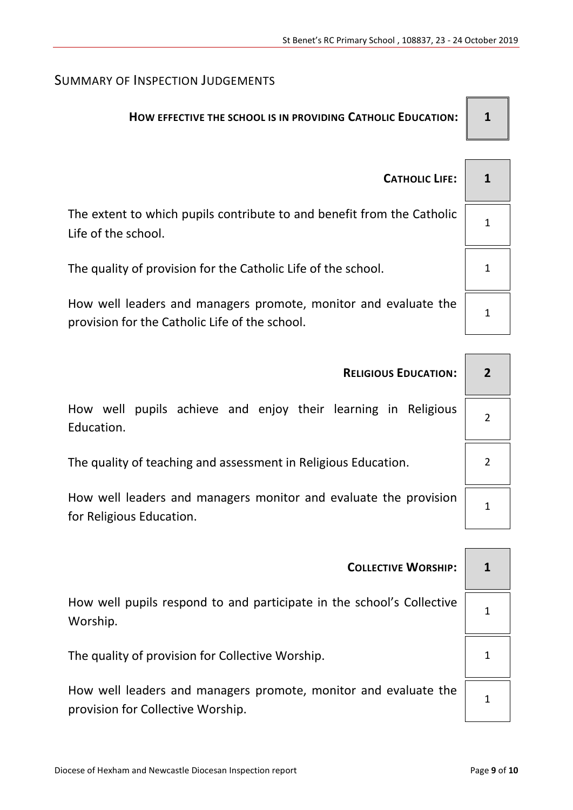## SUMMARY OF INSPECTION JUDGEMENTS

## **HOW EFFECTIVE THE SCHOOL IS IN PROVIDING CATHOLIC EDUCATION: 1**

| <b>CATHOLIC LIFE:</b>                                                                                             |  |
|-------------------------------------------------------------------------------------------------------------------|--|
| The extent to which pupils contribute to and benefit from the Catholic<br>Life of the school.                     |  |
| The quality of provision for the Catholic Life of the school.                                                     |  |
| How well leaders and managers promote, monitor and evaluate the<br>provision for the Catholic Life of the school. |  |

| <b>RELIGIOUS EDUCATION:</b>                                                                  | $\overline{2}$ |
|----------------------------------------------------------------------------------------------|----------------|
| How well pupils achieve and enjoy their learning in Religious<br>Education.                  | $\overline{2}$ |
| The quality of teaching and assessment in Religious Education.                               |                |
| How well leaders and managers monitor and evaluate the provision<br>for Religious Education. | 1              |
|                                                                                              |                |

| How well pupils respond to and participate in the school's Collective<br>Worship. |  |
|-----------------------------------------------------------------------------------|--|
| The quality of provision for Collective Worship.                                  |  |

How well leaders and managers promote, monitor and evaluate the provision for Collective Worship.

1